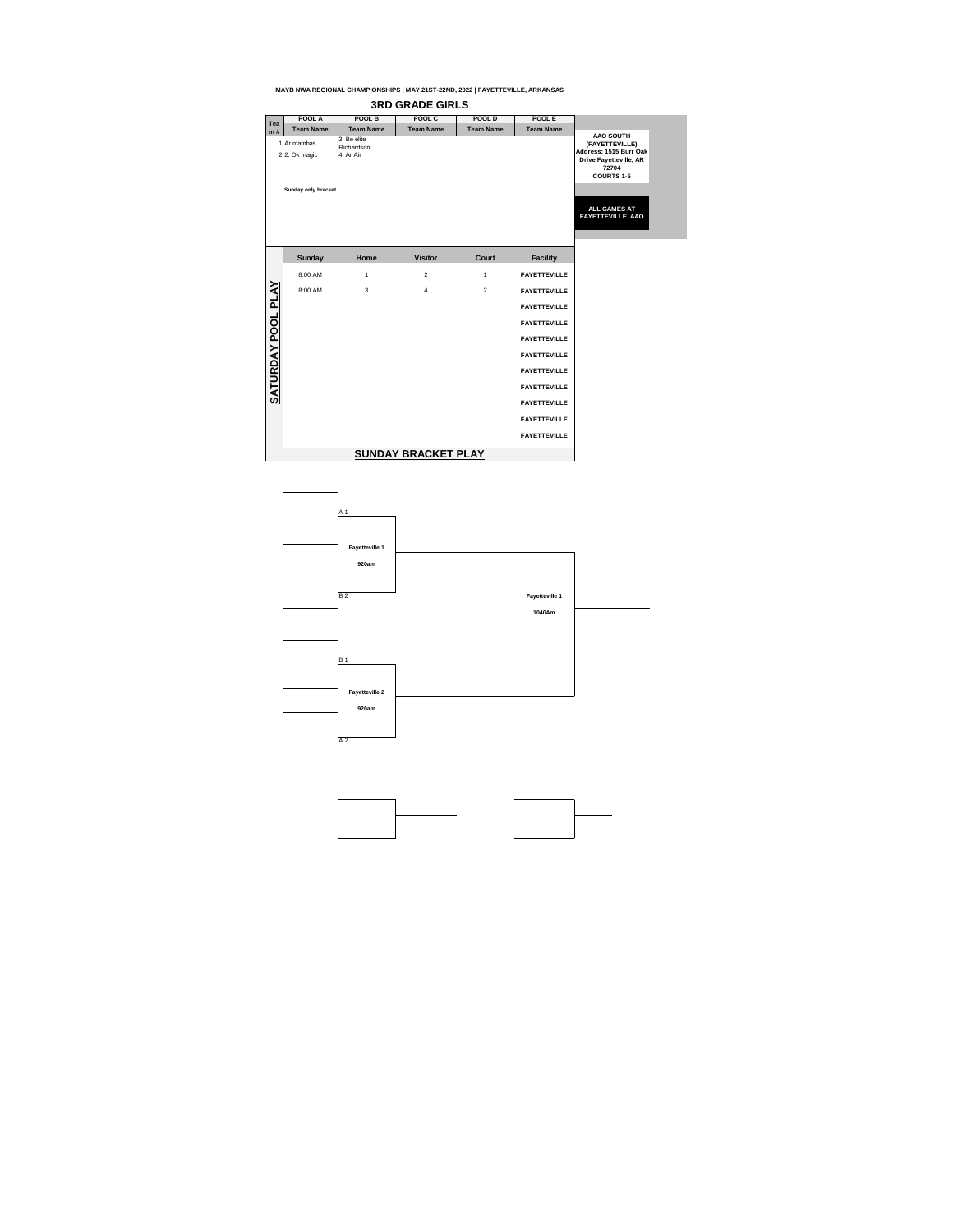



|                  | POOL A                       | <b>POOL B</b>                          | POOL C                     | POOL D           | POOL E              |                                                                                                                             |
|------------------|------------------------------|----------------------------------------|----------------------------|------------------|---------------------|-----------------------------------------------------------------------------------------------------------------------------|
| Tea<br>m#        | <b>Team Name</b>             | <b>Team Name</b>                       | <b>Team Name</b>           | <b>Team Name</b> | <b>Team Name</b>    |                                                                                                                             |
|                  | 1 Ar mambas<br>2 2. Ok magic | 3. Be elite<br>Richardson<br>4. Ar Air |                            |                  |                     | <b>AAO SOUTH</b><br>(FAYETTEVILLE)<br>Address: 1515 Burr Oak<br><b>Drive Fayetteville, AR</b><br>72704<br><b>COURTS 1-5</b> |
|                  | <b>Sunday only bracket</b>   |                                        |                            |                  |                     | <b>ALL GAMES AT</b><br><b>FAYETTEVILLE AAO</b>                                                                              |
|                  | <b>Sunday</b>                | Home                                   | <b>Visitor</b>             | <b>Court</b>     | <b>Facility</b>     |                                                                                                                             |
|                  | 8:00 AM                      | 1                                      | $\overline{2}$             | $\mathbf{1}$     | <b>FAYETTEVILLE</b> |                                                                                                                             |
| <b>POOL PLAY</b> | 8:00 AM                      | 3                                      | $\overline{4}$             | 2                | <b>FAYETTEVILLE</b> |                                                                                                                             |
|                  |                              |                                        |                            |                  | <b>FAYETTEVILLE</b> |                                                                                                                             |
|                  |                              |                                        |                            |                  | <b>FAYETTEVILLE</b> |                                                                                                                             |
|                  |                              |                                        |                            |                  | <b>FAYETTEVILLE</b> |                                                                                                                             |
| <b>SATURDAY</b>  |                              |                                        |                            |                  | <b>FAYETTEVILLE</b> |                                                                                                                             |
|                  |                              |                                        |                            |                  | <b>FAYETTEVILLE</b> |                                                                                                                             |
|                  |                              |                                        |                            |                  | <b>FAYETTEVILLE</b> |                                                                                                                             |
|                  |                              |                                        |                            |                  | <b>FAYETTEVILLE</b> |                                                                                                                             |
|                  |                              |                                        |                            |                  | <b>FAYETTEVILLE</b> |                                                                                                                             |
|                  |                              |                                        |                            |                  | <b>FAYETTEVILLE</b> |                                                                                                                             |
|                  |                              |                                        | <b>SUNDAY BRACKET PLAY</b> |                  |                     |                                                                                                                             |

### **3RD GRADE GIRLS**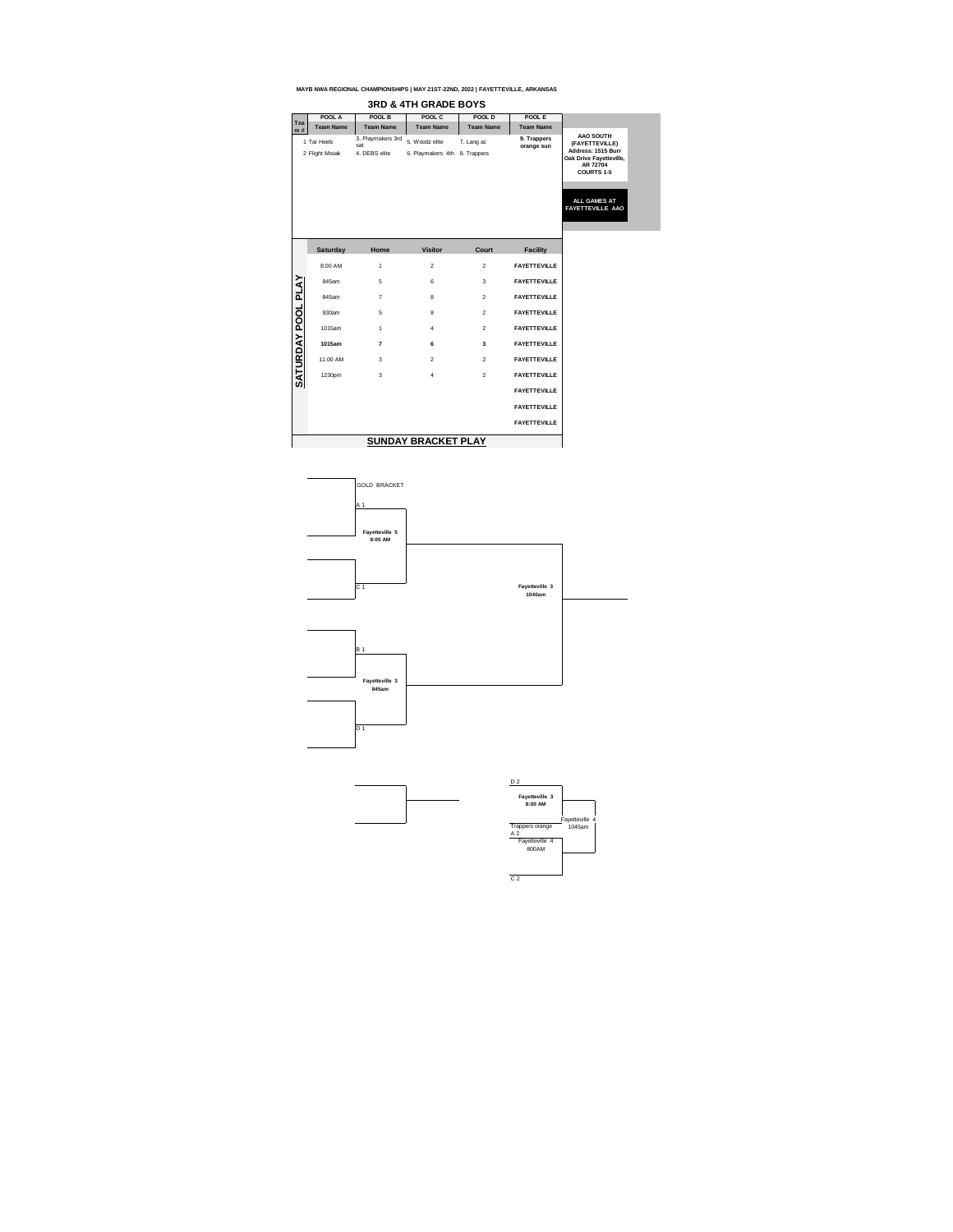|                  | POOL A                         | POOL B                                    | POOL C                                          | POOL D           | POOL E                    |                                                                                                                                                                 |
|------------------|--------------------------------|-------------------------------------------|-------------------------------------------------|------------------|---------------------------|-----------------------------------------------------------------------------------------------------------------------------------------------------------------|
| <b>Tea</b><br>m# | <b>Team Name</b>               | <b>Team Name</b>                          | <b>Team Name</b>                                | <b>Team Name</b> | <b>Team Name</b>          |                                                                                                                                                                 |
|                  | 1 Tar Heels<br>2 Flight Misiak | 3. Playmakers 3rd<br>sat<br>4. DEBS elite | 5. Woodz elite<br>6. Playmakers 4th 8. Trappers | 7. Lang ac       | 9. Trappers<br>orange sun | <b>AAO SOUTH</b><br>(FAYETTEVILLE)<br>Address: 1515 Burr<br>Oak Drive Fayetteville,<br>AR 72704<br><b>COURTS 1-5</b><br><b>ALL GAMES AT</b><br>FAYETTEVILLE AAO |
|                  | <b>Saturday</b>                | Home                                      | <b>Visitor</b>                                  | <b>Court</b>     | <b>Facility</b>           |                                                                                                                                                                 |
|                  | 8:00 AM                        | 1                                         | $\overline{2}$                                  | $\overline{2}$   | <b>FAYETTEVILLE</b>       |                                                                                                                                                                 |
| <b>PLAY</b>      | 845am                          | 5                                         | $6\phantom{a}$                                  | $\mathbf{3}$     | <b>FAYETTEVILLE</b>       |                                                                                                                                                                 |
|                  | 845am                          | $\overline{7}$                            | $\bf 8$                                         | $\overline{2}$   | <b>FAYETTEVILLE</b>       |                                                                                                                                                                 |
| POOL             | 930am                          | 5                                         | 8                                               | $\overline{2}$   | <b>FAYETTEVILLE</b>       |                                                                                                                                                                 |
|                  | 1015am                         |                                           | 4                                               | $2^{\circ}$      | <b>FAYETTEVILLE</b>       |                                                                                                                                                                 |
|                  | 1015am                         | $\overline{\mathbf{7}}$                   | $6\phantom{1}$                                  | $\mathbf{3}$     | <b>FAYETTEVILLE</b>       |                                                                                                                                                                 |
|                  | 11:00 AM                       | $\mathfrak{S}$                            | $\overline{2}$                                  | $\overline{2}$   | <b>FAYETTEVILLE</b>       |                                                                                                                                                                 |
| <u>SATURDAY</u>  | 1230pm                         | $\mathbf{3}$                              | $\overline{4}$                                  | $\overline{2}$   | <b>FAYETTEVILLE</b>       |                                                                                                                                                                 |
|                  |                                |                                           |                                                 |                  | <b>FAYETTEVILLE</b>       |                                                                                                                                                                 |
|                  |                                |                                           |                                                 |                  | <b>FAYETTEVILLE</b>       |                                                                                                                                                                 |
|                  |                                |                                           |                                                 |                  | <b>FAYETTEVILLE</b>       |                                                                                                                                                                 |



# **SUNDAY BRACKET PLAY**

#### **MAYB NWA REGIONAL CHAMPIONSHIPS | MAY 21ST-22ND, 2022 | FAYETTEVILLE, ARKANSAS**

### **3RD & 4TH GRADE BOYS**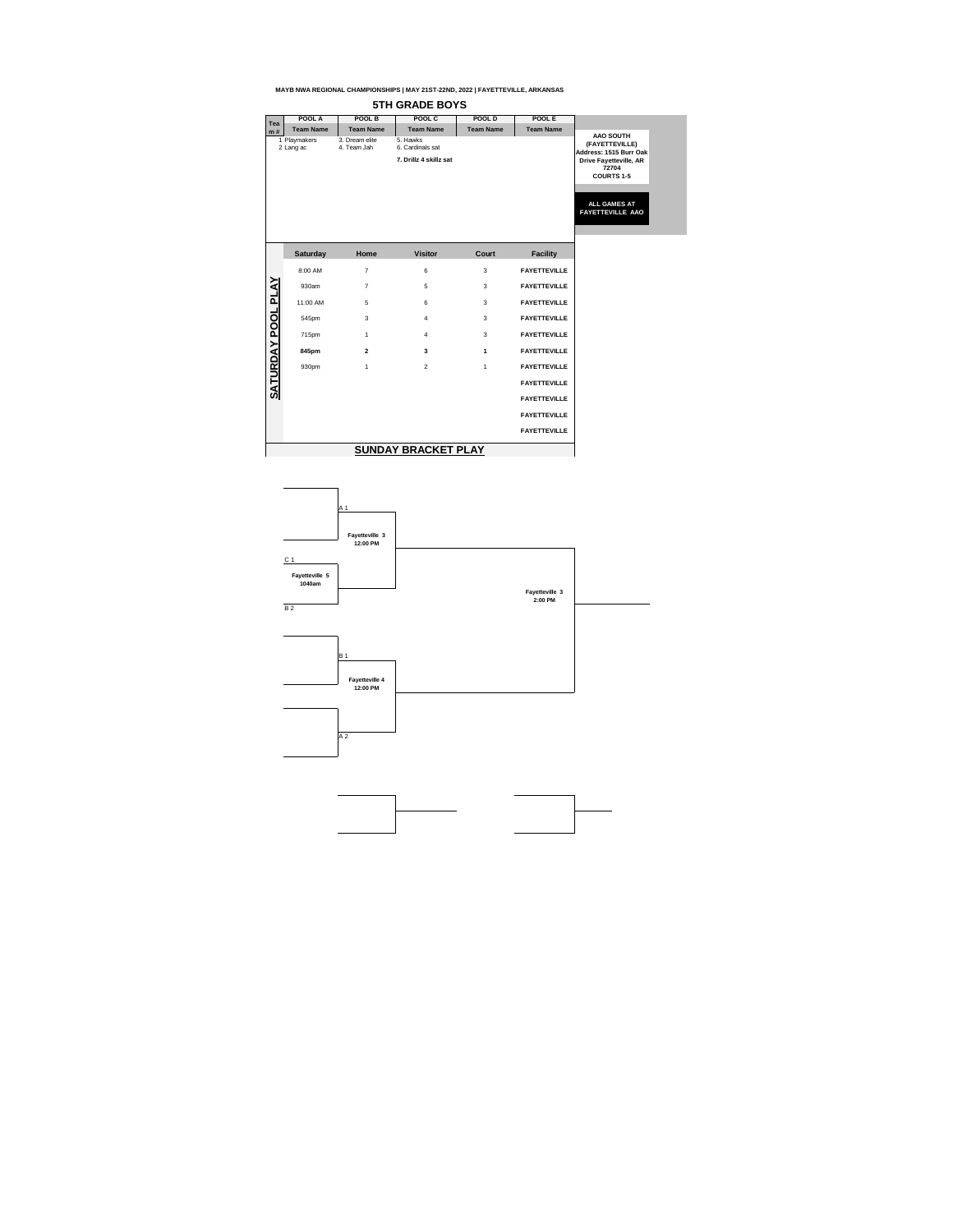| <b>Tea</b>    | POOL A                  | POOL B                        | POOL C                                                 | POOL D           | POOL E              |                                                                                                                             |
|---------------|-------------------------|-------------------------------|--------------------------------------------------------|------------------|---------------------|-----------------------------------------------------------------------------------------------------------------------------|
| m#            | <b>Team Name</b>        | <b>Team Name</b>              | <b>Team Name</b>                                       | <b>Team Name</b> | <b>Team Name</b>    |                                                                                                                             |
|               | Playmakers<br>2 Lang ac | 3. Dream elite<br>4. Team Jah | 5. Hawks<br>6. Cardinals sat<br>7. Drillz 4 skillz sat |                  |                     | <b>AAO SOUTH</b><br>(FAYETTEVILLE)<br>Address: 1515 Burr Oak<br><b>Drive Fayetteville, AR</b><br>72704<br><b>COURTS 1-5</b> |
|               |                         |                               |                                                        |                  |                     | <b>ALL GAMES AT</b><br><b>FAYETTEVILLE AAO</b>                                                                              |
|               | <b>Saturday</b>         | Home                          | <b>Visitor</b>                                         | <b>Court</b>     | <b>Facility</b>     |                                                                                                                             |
|               | 8:00 AM                 | $\overline{7}$                | $\,6$                                                  | 3                | <b>FAYETTEVILLE</b> |                                                                                                                             |
| <b>PLAY</b>   | 930am                   | $\overline{7}$                | $5\phantom{.0}$                                        | 3                | <b>FAYETTEVILLE</b> |                                                                                                                             |
|               | 11:00 AM                | 5                             | 6                                                      | 3                | <b>FAYETTEVILLE</b> |                                                                                                                             |
| AY POOL       | 545pm                   | 3                             | $\overline{\mathcal{A}}$                               | $\mathbf{3}$     | <b>FAYETTEVILLE</b> |                                                                                                                             |
|               | 715pm                   | $\mathbf 1$                   | $\overline{\mathcal{A}}$                               | 3                | <b>FAYETTEVILLE</b> |                                                                                                                             |
|               | 845pm                   | $\mathbf{2}$                  | 3 <sup>1</sup>                                         | $\mathbf 1$      | <b>FAYETTEVILLE</b> |                                                                                                                             |
| <b>SATURD</b> | 930pm                   | 1                             | $\overline{2}$                                         | 1                | <b>FAYETTEVILLE</b> |                                                                                                                             |
|               |                         |                               |                                                        |                  | <b>FAYETTEVILLE</b> |                                                                                                                             |
|               |                         |                               |                                                        |                  | <b>FAYETTEVILLE</b> |                                                                                                                             |
|               |                         |                               |                                                        |                  | <b>FAYETTEVILLE</b> |                                                                                                                             |
|               |                         |                               |                                                        |                  | <b>FAYETTEVILLE</b> |                                                                                                                             |
|               |                         |                               |                                                        |                  |                     |                                                                                                                             |



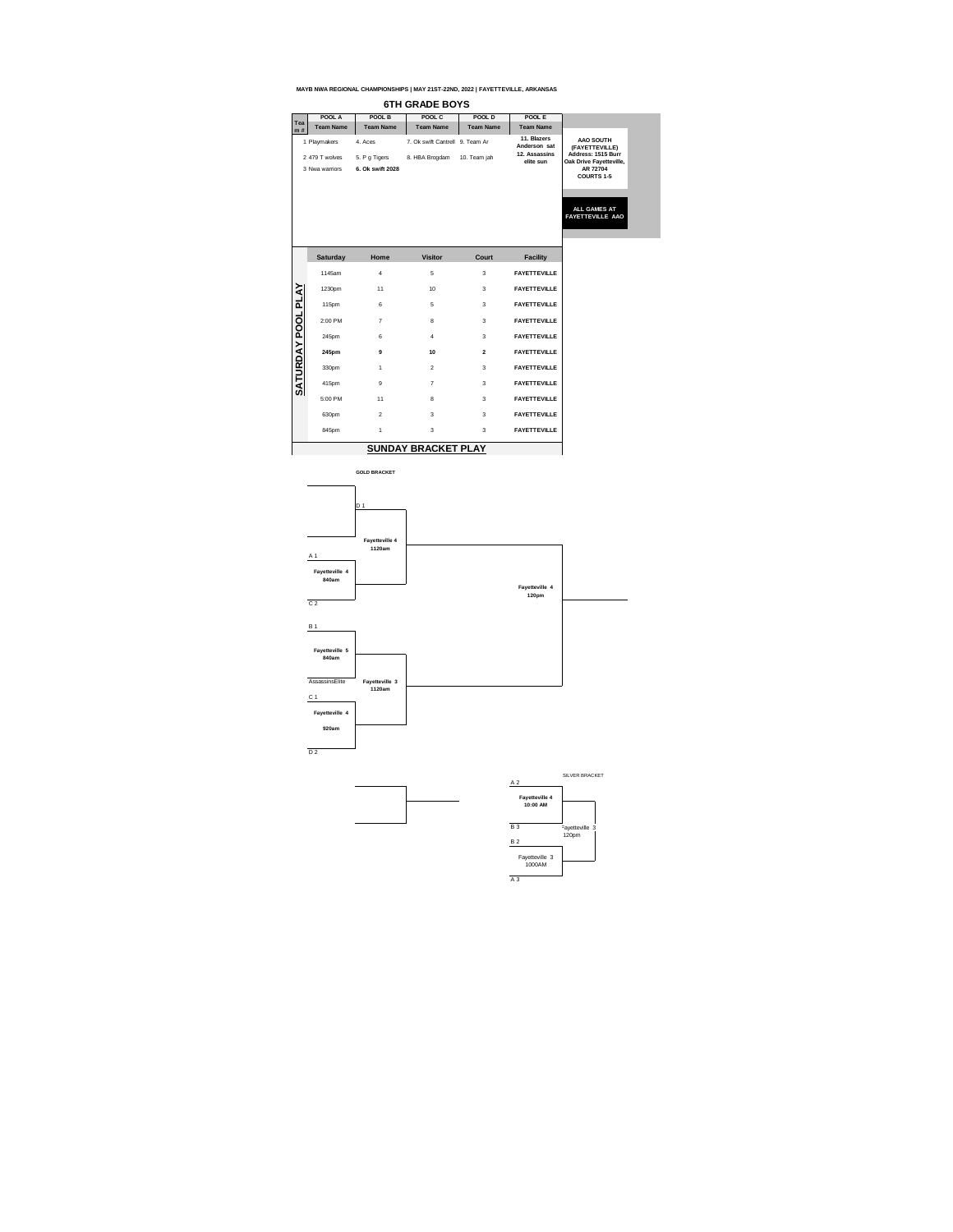

|                  | POOL A           | POOL B           | POOL C                          | POOL D           | POOL E                      |
|------------------|------------------|------------------|---------------------------------|------------------|-----------------------------|
| <b>Tea</b><br>m# | <b>Team Name</b> | <b>Team Name</b> | <b>Team Name</b>                | <b>Team Name</b> | <b>Team Name</b>            |
|                  | 1 Playmakers     | 4. Aces          | 7. Ok swift Cantrell 9. Team Ar |                  | 11. Blazers<br>Anderson sat |
|                  | 2 479 T wolves   | 5. P g Tigers    | 8. HBA Brogdam                  | 10. Team jah     | 12. Assassins<br>elite sun  |
|                  | 3 Nwa warriors   | 6. Ok swift 2028 |                                 |                  |                             |
|                  |                  |                  |                                 |                  |                             |
|                  |                  |                  |                                 |                  |                             |
|                  | <b>Saturday</b>  | Home             | <b>Visitor</b>                  | <b>Court</b>     | <b>Facility</b>             |
|                  | 1145am           | $\overline{4}$   | 5                               | $\mathfrak{3}$   | <b>FAYETTEVILLE</b>         |
| <b>AY</b>        | 1230pm           | 11               | 10                              | $\mathbf{3}$     | <b>FAYETTEVILLE</b>         |
| ᆜ                | 115pm            | $6\phantom{1}$   | 5                               | $\mathfrak{S}$   | <b>FAYETTEVILLE</b>         |
|                  | 2:00 PM          | $\overline{7}$   | 8                               | 3                | <b>FAYETTEVILLE</b>         |
| <b>POOL</b>      | 245pm            | 6                | 4                               | 3                | <b>FAYETTEVILLE</b>         |
|                  | 245pm            | 9                | 10                              | $\boldsymbol{2}$ | <b>FAYETTEVILLE</b>         |
|                  | 330pm            | $\mathbf{1}$     | $\mathbf{2}$                    | $\mathfrak{3}$   | <b>FAYETTEVILLE</b>         |
| <u>SATURDAY</u>  | 415pm            | $\boldsymbol{9}$ | $\overline{7}$                  | $\mathfrak{3}$   | <b>FAYETTEVILLE</b>         |
|                  | 5:00 PM          | 11               | $\,8\,$                         | $\mathfrak{3}$   | <b>FAYETTEVILLE</b>         |
|                  | 630pm            | $\overline{2}$   | 3                               | $\mathfrak{S}$   | <b>FAYETTEVILLE</b>         |
|                  | 845pm            | $\mathbf{1}$     | $\mathfrak{B}$                  | $\sqrt{3}$       | <b>FAYETTEVILLE</b>         |





# **SUNDAY BRACKET PLAY**

#### **MAYB NWA REGIONAL CHAMPIONSHIPS | MAY 21ST-22ND, 2022 | FAYETTEVILLE, ARKANSAS**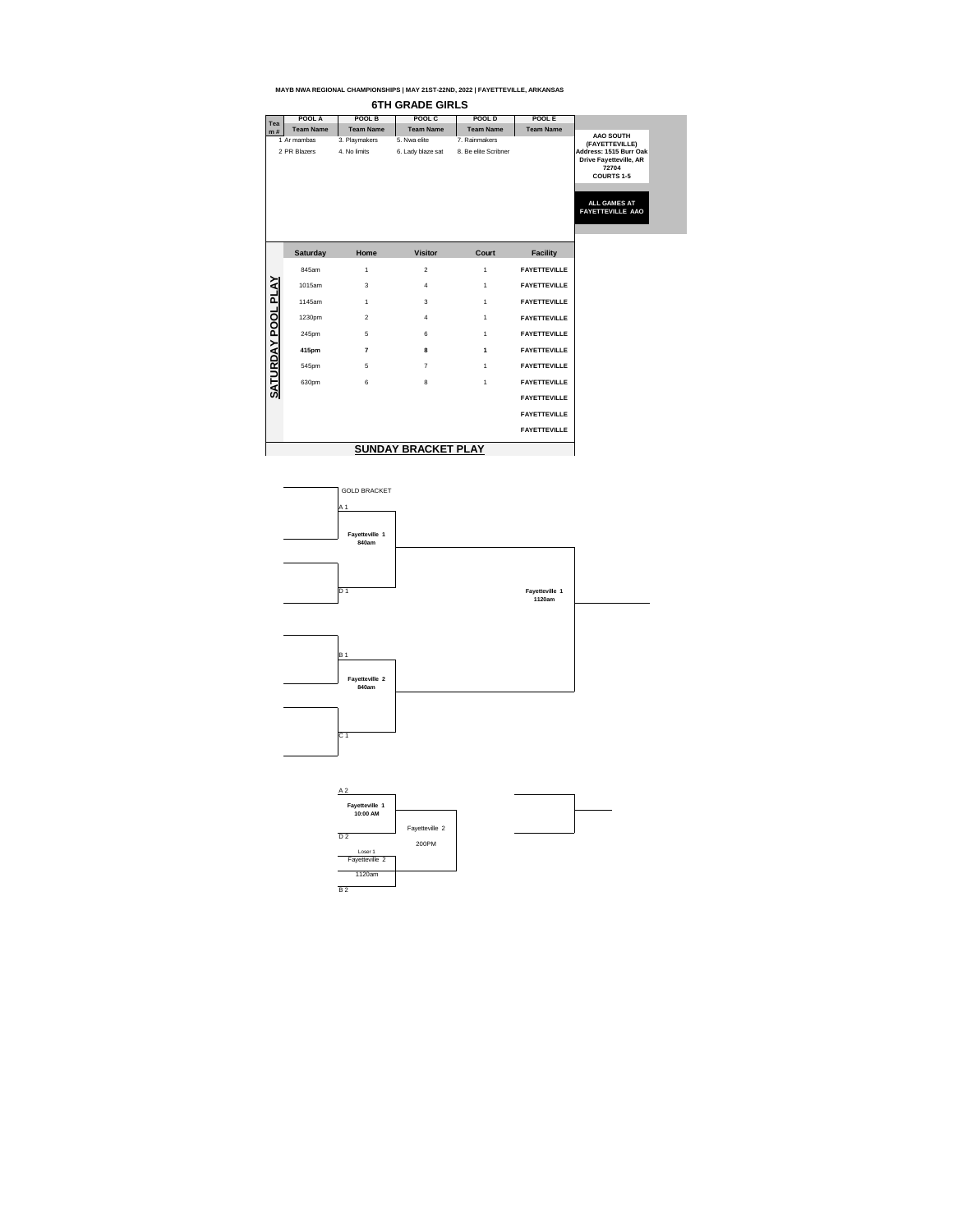| Tea            | <b>POOL A</b>               | <b>POOL B</b>                 | POOL C                            | POOL D                                | POOL E              |                                                                                                                                                                               |
|----------------|-----------------------------|-------------------------------|-----------------------------------|---------------------------------------|---------------------|-------------------------------------------------------------------------------------------------------------------------------------------------------------------------------|
| m#             | <b>Team Name</b>            | <b>Team Name</b>              | <b>Team Name</b>                  | <b>Team Name</b>                      | <b>Team Name</b>    |                                                                                                                                                                               |
|                | 1 Ar mambas<br>2 PR Blazers | 3. Playmakers<br>4. No limits | 5. Nwa elite<br>6. Lady blaze sat | 7. Rainmakers<br>8. Be elite Scribner |                     | <b>AAO SOUTH</b><br>(FAYETTEVILLE)<br>Address: 1515 Burr Oak<br><b>Drive Fayetteville, AR</b><br>72704<br><b>COURTS 1-5</b><br><b>ALL GAMES AT</b><br><b>FAYETTEVILLE AAO</b> |
|                | <b>Saturday</b>             | Home                          | <b>Visitor</b>                    | <b>Court</b>                          | <b>Facility</b>     |                                                                                                                                                                               |
|                | 845am                       | $\mathbf 1$                   | $\overline{2}$                    | 1                                     | <b>FAYETTEVILLE</b> |                                                                                                                                                                               |
| $\overline{A}$ | 1015am                      | $\mathfrak{S}$                | $\overline{\mathcal{A}}$          | $\mathbf{1}$                          | <b>FAYETTEVILLE</b> |                                                                                                                                                                               |
| 군              | 1145am                      | 1                             | 3                                 | 1                                     | <b>FAYETTEVILLE</b> |                                                                                                                                                                               |
| <b>POOL</b>    | 1230pm                      | $\overline{2}$                | 4                                 | $\mathbf 1$                           | <b>FAYETTEVILLE</b> |                                                                                                                                                                               |
|                | 245pm                       | 5                             | $6\phantom{1}$                    | $\mathbf 1$                           | <b>FAYETTEVILLE</b> |                                                                                                                                                                               |
| YA             | 415pm                       | 7                             | 8                                 | $\mathbf 1$                           | <b>FAYETTEVILLE</b> |                                                                                                                                                                               |
|                | 545pm                       | $\overline{5}$                | $\overline{7}$                    | 1                                     | <b>FAYETTEVILLE</b> |                                                                                                                                                                               |
| <b>SATURD</b>  | 630pm                       | $\,6$                         | 8                                 | $\mathbf 1$                           | <b>FAYETTEVILLE</b> |                                                                                                                                                                               |
|                |                             |                               |                                   |                                       | <b>FAYETTEVILLE</b> |                                                                                                                                                                               |
|                |                             |                               |                                   |                                       | <b>FAYETTEVILLE</b> |                                                                                                                                                                               |
|                |                             |                               |                                   |                                       | <b>FAYETTEVILLE</b> |                                                                                                                                                                               |
|                |                             |                               |                                   |                                       |                     |                                                                                                                                                                               |



### **6TH GRADE GIRLS**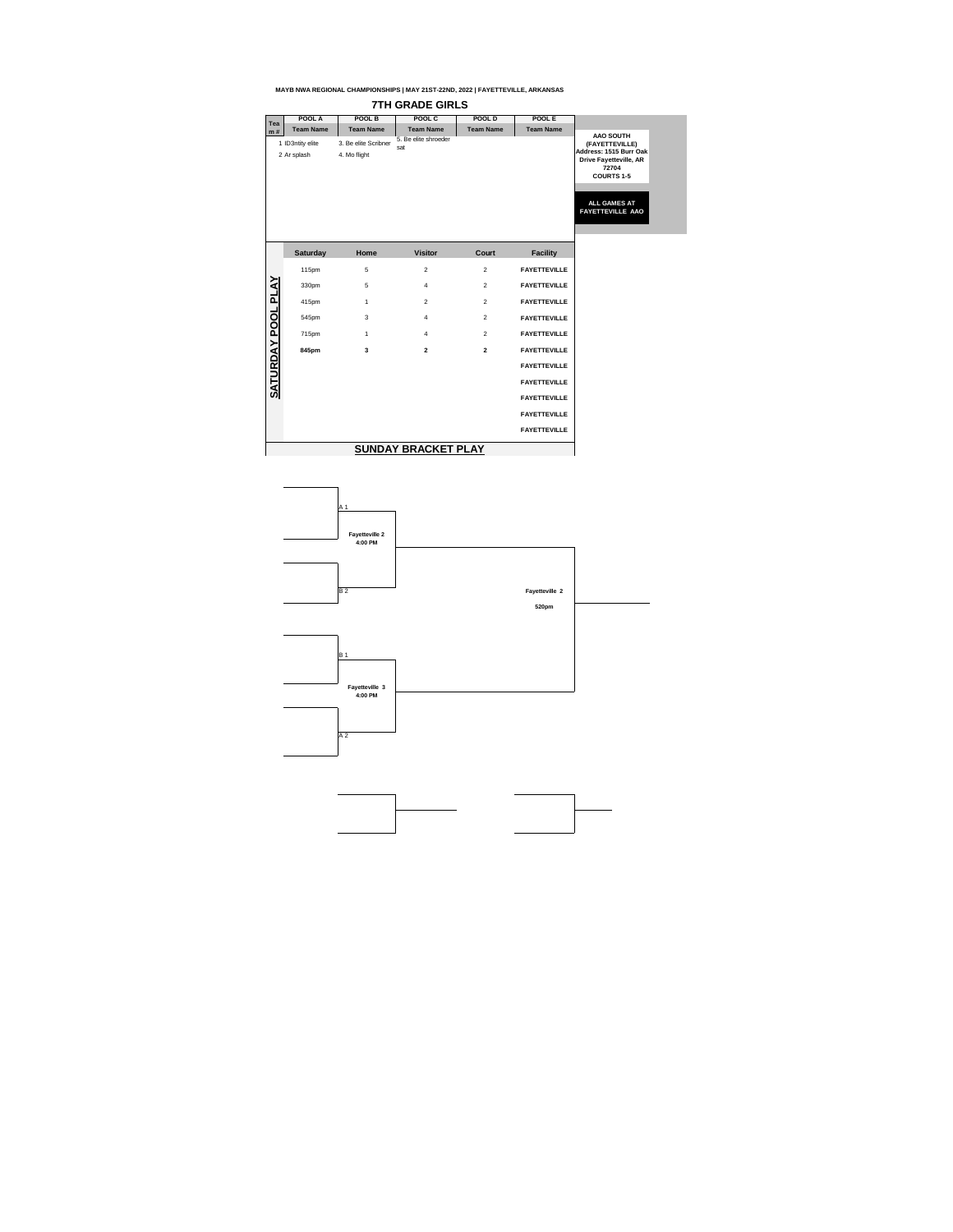



| Tea                   | POOL A                          | POOL B                               | POOL C                      | POOL D           | POOL E              |                                                                                                                                                                               |
|-----------------------|---------------------------------|--------------------------------------|-----------------------------|------------------|---------------------|-------------------------------------------------------------------------------------------------------------------------------------------------------------------------------|
| m#                    | <b>Team Name</b>                | <b>Team Name</b>                     | <b>Team Name</b>            | <b>Team Name</b> | <b>Team Name</b>    |                                                                                                                                                                               |
|                       | 1 ID3ntity elite<br>2 Ar splash | 3. Be elite Scribner<br>4. Mo flight | 5. Be elite shroeder<br>sat |                  |                     | <b>AAO SOUTH</b><br>(FAYETTEVILLE)<br>Address: 1515 Burr Oak<br><b>Drive Fayetteville, AR</b><br>72704<br><b>COURTS 1-5</b><br><b>ALL GAMES AT</b><br><b>FAYETTEVILLE AAO</b> |
|                       | <b>Saturday</b>                 | Home                                 | <b>Visitor</b>              | <b>Court</b>     | <b>Facility</b>     |                                                                                                                                                                               |
|                       | 115pm                           | 5                                    | $\overline{2}$              | 2                | <b>FAYETTEVILLE</b> |                                                                                                                                                                               |
| <b>NA</b>             | 330pm                           | 5                                    | 4                           | $\overline{2}$   | <b>FAYETTEVILLE</b> |                                                                                                                                                                               |
| ᆜ                     | 415pm                           | $\mathbf 1$                          | $\overline{2}$              | $\overline{2}$   | <b>FAYETTEVILLE</b> |                                                                                                                                                                               |
| <b>POOL</b>           | 545pm                           | 3                                    | 4                           | $\overline{2}$   | <b>FAYETTEVILLE</b> |                                                                                                                                                                               |
|                       | 715pm                           | $\mathbf 1$                          | 4                           | $\overline{2}$   | <b>FAYETTEVILLE</b> |                                                                                                                                                                               |
| $\overline{\Delta Y}$ | 845pm                           | 3                                    | $\mathbf 2$                 | $\mathbf{2}$     | <b>FAYETTEVILLE</b> |                                                                                                                                                                               |
| $\Box$                |                                 |                                      |                             |                  | <b>FAYETTEVILLE</b> |                                                                                                                                                                               |
| <b>SATUR</b>          |                                 |                                      |                             |                  | <b>FAYETTEVILLE</b> |                                                                                                                                                                               |
|                       |                                 |                                      |                             |                  | <b>FAYETTEVILLE</b> |                                                                                                                                                                               |
|                       |                                 |                                      |                             |                  | <b>FAYETTEVILLE</b> |                                                                                                                                                                               |
|                       |                                 |                                      |                             |                  | <b>FAYETTEVILLE</b> |                                                                                                                                                                               |
|                       |                                 |                                      |                             |                  |                     |                                                                                                                                                                               |

## **7TH GRADE GIRLS**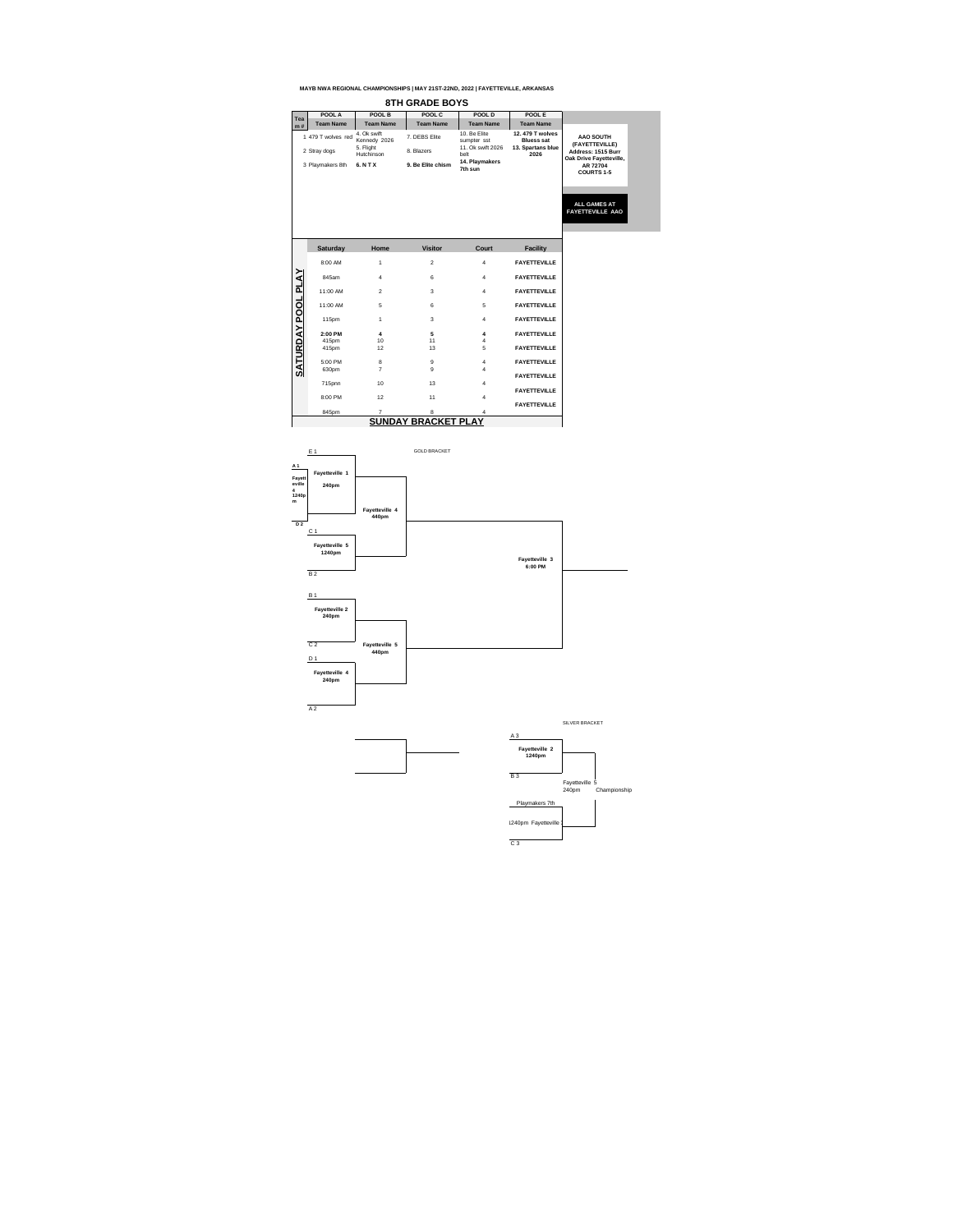|                  | POOL A                             | POOL B                                                 | POOL C                      | <b>POOL D</b>                                            | POOL E                                                            |                                                                                     |
|------------------|------------------------------------|--------------------------------------------------------|-----------------------------|----------------------------------------------------------|-------------------------------------------------------------------|-------------------------------------------------------------------------------------|
| <b>Tea</b><br>m# | <b>Team Name</b>                   | <b>Team Name</b>                                       | <b>Team Name</b>            | <b>Team Name</b>                                         | <b>Team Name</b>                                                  |                                                                                     |
|                  | 1 479 T wolves red<br>2 Stray dogs | 4. Ok swift<br>Kennedy 2026<br>5. Flight<br>Hutchinson | 7. DEBS Elite<br>8. Blazers | 10. Be Elite<br>sumpter sst<br>11. Ok swift 2026<br>belt | 12.479 T wolves<br><b>Bluess sat</b><br>13. Spartans blue<br>2026 | <b>AAO SOUTH</b><br>(FAYETTEVILLE)<br>Address: 1515 Burr<br>Oak Drive Fayetteville, |
|                  | 3 Playmakers 8th                   | <b>6. N T X</b>                                        | 9. Be Elite chism           | 14. Playmakers<br>7th sun                                |                                                                   | AR 72704<br><b>COURTS 1-5</b>                                                       |
|                  |                                    |                                                        |                             |                                                          |                                                                   |                                                                                     |
|                  |                                    |                                                        |                             |                                                          |                                                                   | <b>ALL GAMES AT</b><br><b>FAYETTEVILLE AAO</b>                                      |
|                  |                                    |                                                        |                             |                                                          |                                                                   |                                                                                     |
|                  |                                    |                                                        |                             |                                                          |                                                                   |                                                                                     |
|                  | <b>Saturday</b>                    | Home                                                   | <b>Visitor</b>              | <b>Court</b>                                             | <b>Facility</b>                                                   |                                                                                     |
|                  | 8:00 AM                            | $\mathbf{1}$                                           | 2                           | $\overline{4}$                                           | <b>FAYETTEVILLE</b>                                               |                                                                                     |
| <b>PLAY</b>      | 845am                              | $\overline{4}$                                         | 6                           | $\overline{4}$                                           | <b>FAYETTEVILLE</b>                                               |                                                                                     |
|                  | 11:00 AM                           | $\overline{2}$                                         | 3                           | $\overline{4}$                                           | <b>FAYETTEVILLE</b>                                               |                                                                                     |
| POOL             | 11:00 AM                           | 5                                                      | 6                           | 5                                                        | <b>FAYETTEVILLE</b>                                               |                                                                                     |
|                  | 115pm                              | 1                                                      | 3                           | $\overline{4}$                                           | <b>FAYETTEVILLE</b>                                               |                                                                                     |
|                  | 2:00 PM                            | $\overline{\mathbf{4}}$                                | $5\phantom{1}$              | 4                                                        | <b>FAYETTEVILLE</b>                                               |                                                                                     |
|                  | 415pm                              | 10                                                     | 11                          | 4                                                        |                                                                   |                                                                                     |
| <b>SATURDAY</b>  | 415pm                              | 12                                                     | 13                          | 5                                                        | <b>FAYETTEVILLE</b>                                               |                                                                                     |
|                  | 5:00 PM                            | $\bf 8$                                                | $9\,$                       | 4                                                        | <b>FAYETTEVILLE</b>                                               |                                                                                     |
|                  | 630pm                              | $\overline{7}$                                         | 9                           | 4                                                        |                                                                   |                                                                                     |
|                  |                                    |                                                        |                             |                                                          | <b>FAYETTEVILLE</b>                                               |                                                                                     |
|                  | 715pnn                             | 10                                                     | 13                          | 4                                                        |                                                                   |                                                                                     |
|                  | 8:00 PM                            | 12                                                     | 11                          | 4                                                        | <b>FAYETTEVILLE</b>                                               |                                                                                     |
|                  | 845pm                              | $\overline{7}$                                         | 8                           | 4                                                        | <b>FAYETTEVILLE</b>                                               |                                                                                     |

# **SUNDAY BRACKET PLAY**



C 3

#### **MAYB NWA REGIONAL CHAMPIONSHIPS | MAY 21ST-22ND, 2022 | FAYETTEVILLE, ARKANSAS**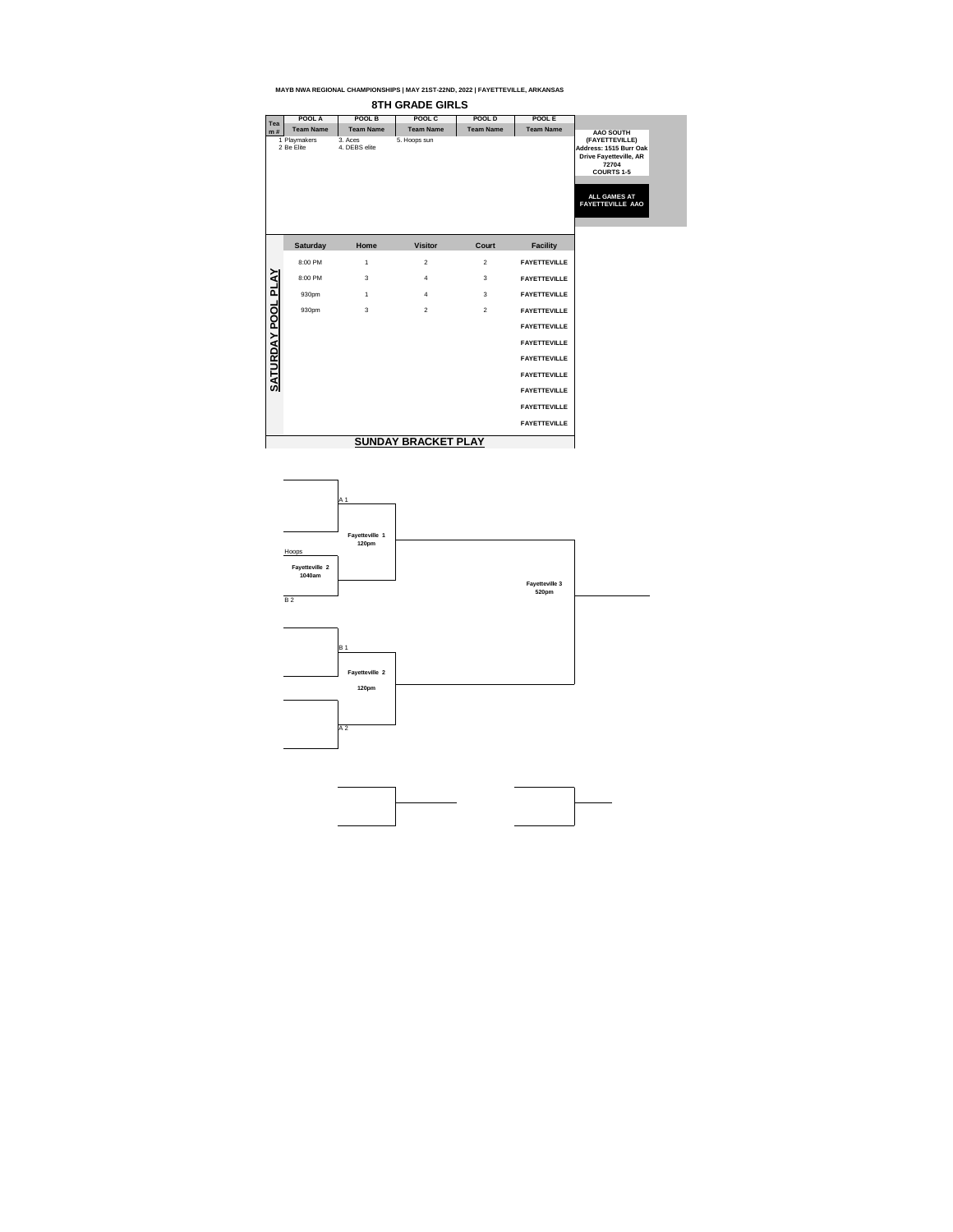



| Tea                               | <b>POOL A</b>                                  | <b>POOL B</b>                                | POOL C                           | POOL D           | POOL E              |                                                                                                                                                                        |
|-----------------------------------|------------------------------------------------|----------------------------------------------|----------------------------------|------------------|---------------------|------------------------------------------------------------------------------------------------------------------------------------------------------------------------|
| m#                                | <b>Team Name</b><br>1 Playmakers<br>2 Be Elite | <b>Team Name</b><br>3. Aces<br>4. DEBS elite | <b>Team Name</b><br>5. Hoops sun | <b>Team Name</b> | <b>Team Name</b>    | <b>AAO SOUTH</b><br>(FAYETTEVILLE)<br>Address: 1515 Burr Oak<br>Drive Fayetteville, AR<br>72704<br><b>COURTS 1-5</b><br><b>ALL GAMES AT</b><br><b>FAYETTEVILLE AAO</b> |
|                                   | <b>Saturday</b>                                | Home                                         | <b>Visitor</b>                   | <b>Court</b>     | <b>Facility</b>     |                                                                                                                                                                        |
|                                   | 8:00 PM                                        | $\mathbf{1}$                                 | $\overline{2}$                   | $\overline{2}$   | <b>FAYETTEVILLE</b> |                                                                                                                                                                        |
| $\boldsymbol{\breve{\mathsf{A}}}$ | 8:00 PM                                        | $\mathfrak{S}$                               | $\overline{4}$                   | $\mathfrak{S}$   | <b>FAYETTEVILLE</b> |                                                                                                                                                                        |
| ᆜ                                 | 930pm                                          | $\mathbf 1$                                  | $\overline{4}$                   | $\mathfrak{S}$   | <b>FAYETTEVILLE</b> |                                                                                                                                                                        |
| POOL                              | 930pm                                          | $\mathfrak{S}$                               | $\overline{2}$                   | $\overline{2}$   | <b>FAYETTEVILLE</b> |                                                                                                                                                                        |
|                                   |                                                |                                              |                                  |                  | <b>FAYETTEVILLE</b> |                                                                                                                                                                        |
| <b>NAQ</b>                        |                                                |                                              |                                  |                  | <b>FAYETTEVILLE</b> |                                                                                                                                                                        |
|                                   |                                                |                                              |                                  |                  | <b>FAYETTEVILLE</b> |                                                                                                                                                                        |
| <u>SATUR</u>                      |                                                |                                              |                                  |                  | <b>FAYETTEVILLE</b> |                                                                                                                                                                        |
|                                   |                                                |                                              |                                  |                  | <b>FAYETTEVILLE</b> |                                                                                                                                                                        |
|                                   |                                                |                                              |                                  |                  | <b>FAYETTEVILLE</b> |                                                                                                                                                                        |
|                                   |                                                |                                              |                                  |                  | <b>FAYETTEVILLE</b> |                                                                                                                                                                        |
|                                   |                                                |                                              |                                  |                  |                     |                                                                                                                                                                        |

## **8TH GRADE GIRLS**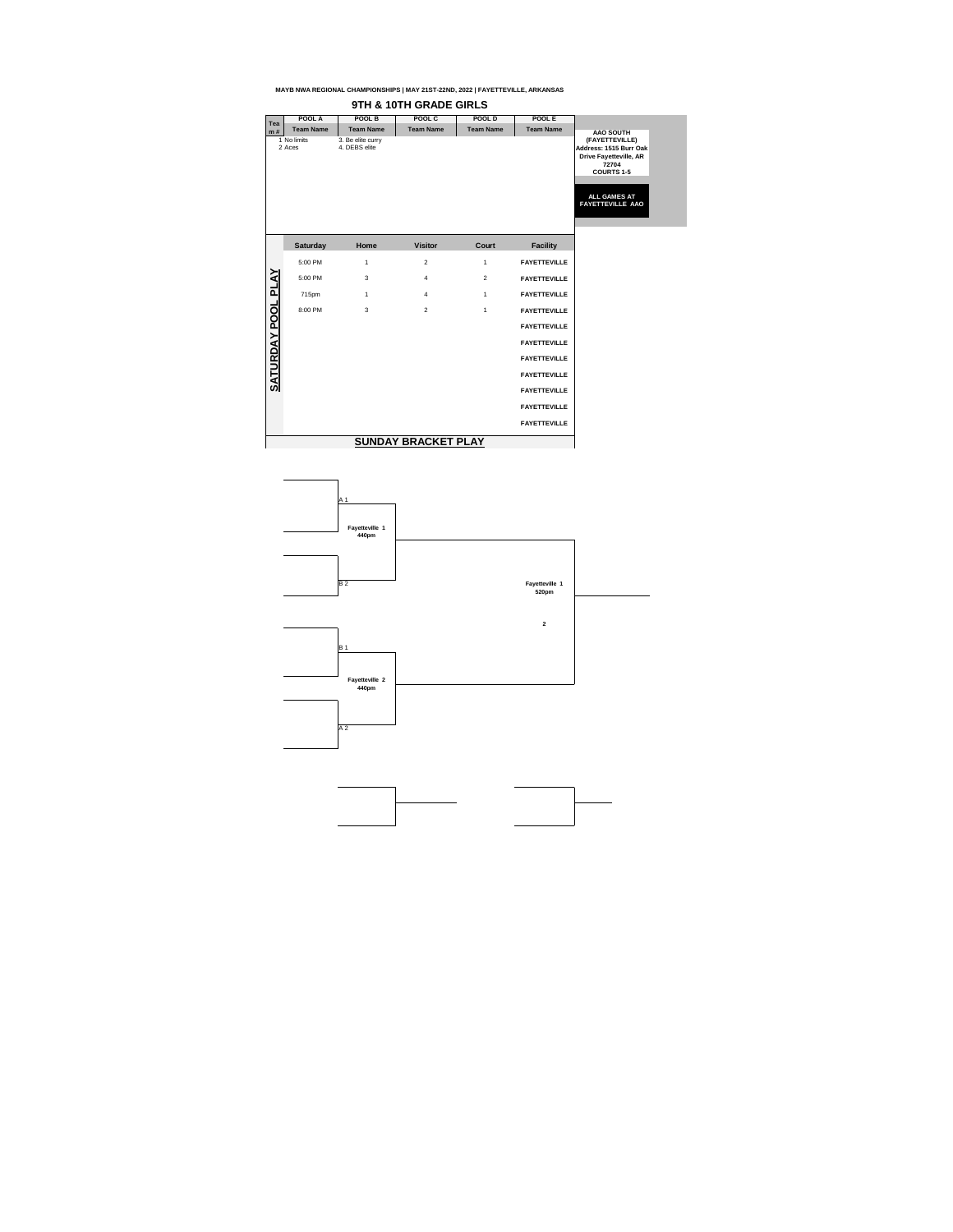



| <b>Tea</b>              | POOL A                                    | <b>POOL B</b>                                          | POOL C                     | POOL D           | <b>POOL E</b>       |                                                                                                                                                                               |
|-------------------------|-------------------------------------------|--------------------------------------------------------|----------------------------|------------------|---------------------|-------------------------------------------------------------------------------------------------------------------------------------------------------------------------------|
| m#                      | <b>Team Name</b><br>1 No limits<br>2 Aces | <b>Team Name</b><br>3. Be elite curry<br>4. DEBS elite | <b>Team Name</b>           | <b>Team Name</b> | <b>Team Name</b>    | <b>AAO SOUTH</b><br>(FAYETTEVILLE)<br>Address: 1515 Burr Oak<br><b>Drive Fayetteville, AR</b><br>72704<br><b>COURTS 1-5</b><br><b>ALL GAMES AT</b><br><b>FAYETTEVILLE AAO</b> |
|                         | <b>Saturday</b>                           | Home                                                   | <b>Visitor</b>             | <b>Court</b>     | <b>Facility</b>     |                                                                                                                                                                               |
|                         | 5:00 PM                                   | $\mathbf{1}$                                           | $\overline{2}$             | $\mathbf 1$      | <b>FAYETTEVILLE</b> |                                                                                                                                                                               |
| $\overline{\mathsf{A}}$ | 5:00 PM                                   | 3                                                      | 4                          | $\overline{2}$   | <b>FAYETTEVILLE</b> |                                                                                                                                                                               |
| $\mathbf{a}$            | 715pm                                     | $\mathbf 1$                                            | 4                          | $\mathbf 1$      | <b>FAYETTEVILLE</b> |                                                                                                                                                                               |
| <b>POOL</b>             | 8:00 PM                                   | 3                                                      | $\overline{2}$             | $\mathbf 1$      | <b>FAYETTEVILLE</b> |                                                                                                                                                                               |
|                         |                                           |                                                        |                            |                  | <b>FAYETTEVILLE</b> |                                                                                                                                                                               |
| <b>NAD</b>              |                                           |                                                        |                            |                  | <b>FAYETTEVILLE</b> |                                                                                                                                                                               |
|                         |                                           |                                                        |                            |                  | <b>FAYETTEVILLE</b> |                                                                                                                                                                               |
| <u>SATUR</u>            |                                           |                                                        |                            |                  | <b>FAYETTEVILLE</b> |                                                                                                                                                                               |
|                         |                                           |                                                        |                            |                  | <b>FAYETTEVILLE</b> |                                                                                                                                                                               |
|                         |                                           |                                                        |                            |                  | <b>FAYETTEVILLE</b> |                                                                                                                                                                               |
|                         |                                           |                                                        |                            |                  | <b>FAYETTEVILLE</b> |                                                                                                                                                                               |
|                         |                                           |                                                        | <b>SUNDAY BRACKET PLAY</b> |                  |                     |                                                                                                                                                                               |

## **9TH & 10TH GRADE GIRLS**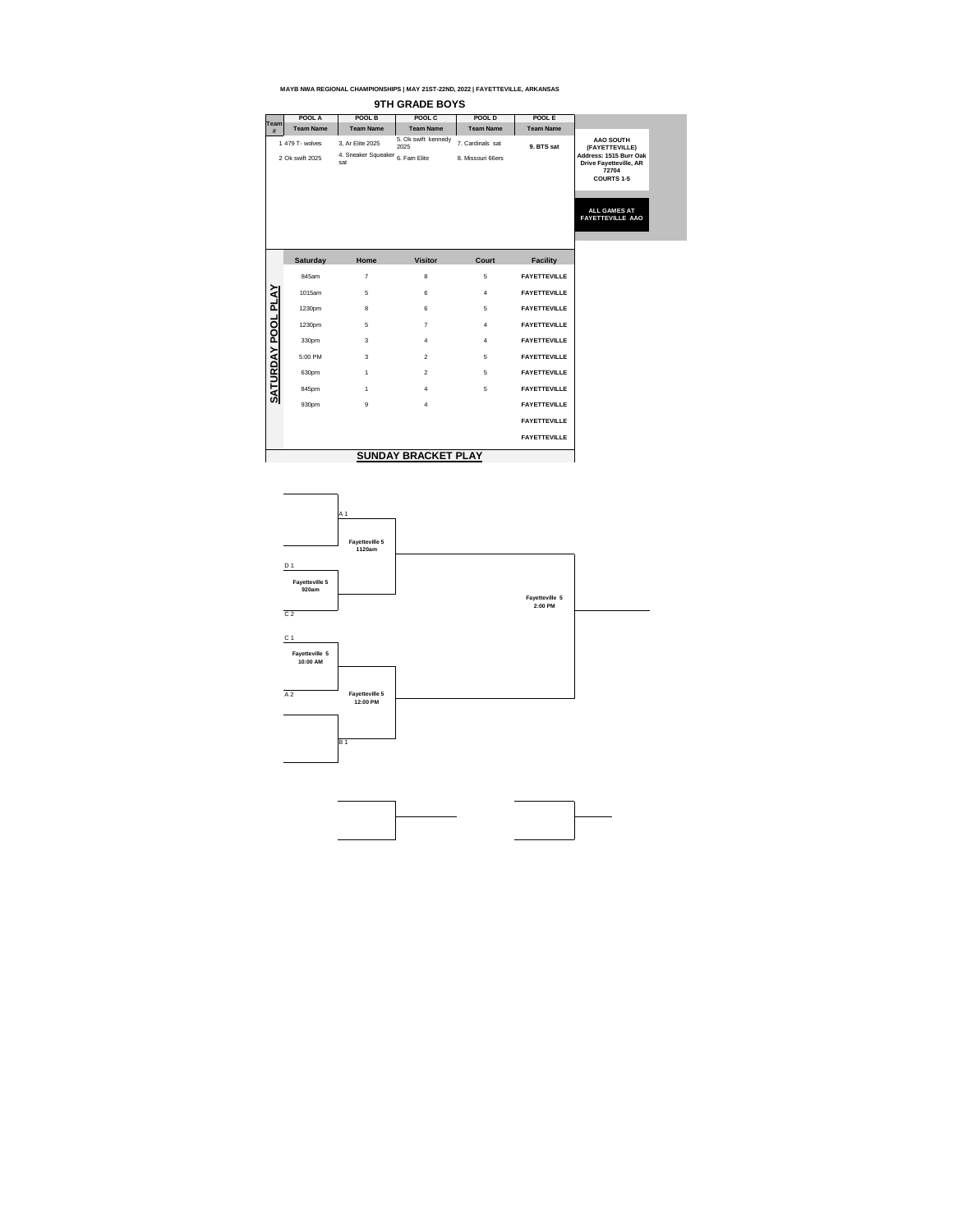|                  | POOL A           | POOL B                                  | POOL C                      | POOL D            | POOL E           |                                                                                       |
|------------------|------------------|-----------------------------------------|-----------------------------|-------------------|------------------|---------------------------------------------------------------------------------------|
| <b>Team</b><br># | <b>Team Name</b> | <b>Team Name</b>                        | <b>Team Name</b>            | <b>Team Name</b>  | <b>Team Name</b> |                                                                                       |
|                  | 479 T- wolves    | 3, Ar Elite 2025                        | 5. Ok swift kennedy<br>2025 | 7. Cardinals sat  | 9. BTS sat       | <b>AAO SOUTH</b><br>(FAYETTEVILLE)                                                    |
|                  | 2 Ok swift 2025  | 4. Sneaker Squeaker 6. Fam Elite<br>sat |                             | 8. Missouri 66ers |                  | Address: 1515 Burr Oak<br><b>Drive Fayetteville, AR</b><br>72704<br><b>COURTS 1-5</b> |
|                  |                  |                                         |                             |                   |                  | <b>ALL GAMES AT</b><br><b>FAYETTEVILLE AAO</b>                                        |



|                      | <b>Saturday</b> | Home           | <b>Visitor</b>             | <b>Court</b>   | <b>Facility</b>     |
|----------------------|-----------------|----------------|----------------------------|----------------|---------------------|
|                      | 845am           | $\overline{7}$ | 8                          | 5              | <b>FAYETTEVILLE</b> |
| $\tilde{\mathbf{A}}$ | 1015am          | 5              | $6\phantom{1}$             | $\overline{4}$ | <b>FAYETTEVILLE</b> |
| $\mathbf{a}$         | 1230pm          | $\bf 8$        | $6\phantom{1}$             | 5              | <b>FAYETTEVILLE</b> |
| <b>POOL</b>          | 1230pm          | 5              | $\overline{7}$             | $\overline{4}$ | <b>FAYETTEVILLE</b> |
|                      | 330pm           | 3              | $\overline{4}$             | $\overline{4}$ | <b>FAYETTEVILLE</b> |
| YA<br>$\Box$         | 5:00 PM         | 3              | $\overline{2}$             | 5              | <b>FAYETTEVILLE</b> |
| $\mathbf{\alpha}$    | 630pm           | 1              | $\overline{2}$             | 5              | <b>FAYETTEVILLE</b> |
| <b>SAT</b>           | 845pm           | 1              | $\overline{4}$             | 5              | <b>FAYETTEVILLE</b> |
|                      | 930pm           | 9              | $\overline{4}$             |                | <b>FAYETTEVILLE</b> |
|                      |                 |                |                            |                | <b>FAYETTEVILLE</b> |
|                      |                 |                |                            |                | <b>FAYETTEVILLE</b> |
|                      |                 |                | <b>SUNDAY BRACKET PLAY</b> |                |                     |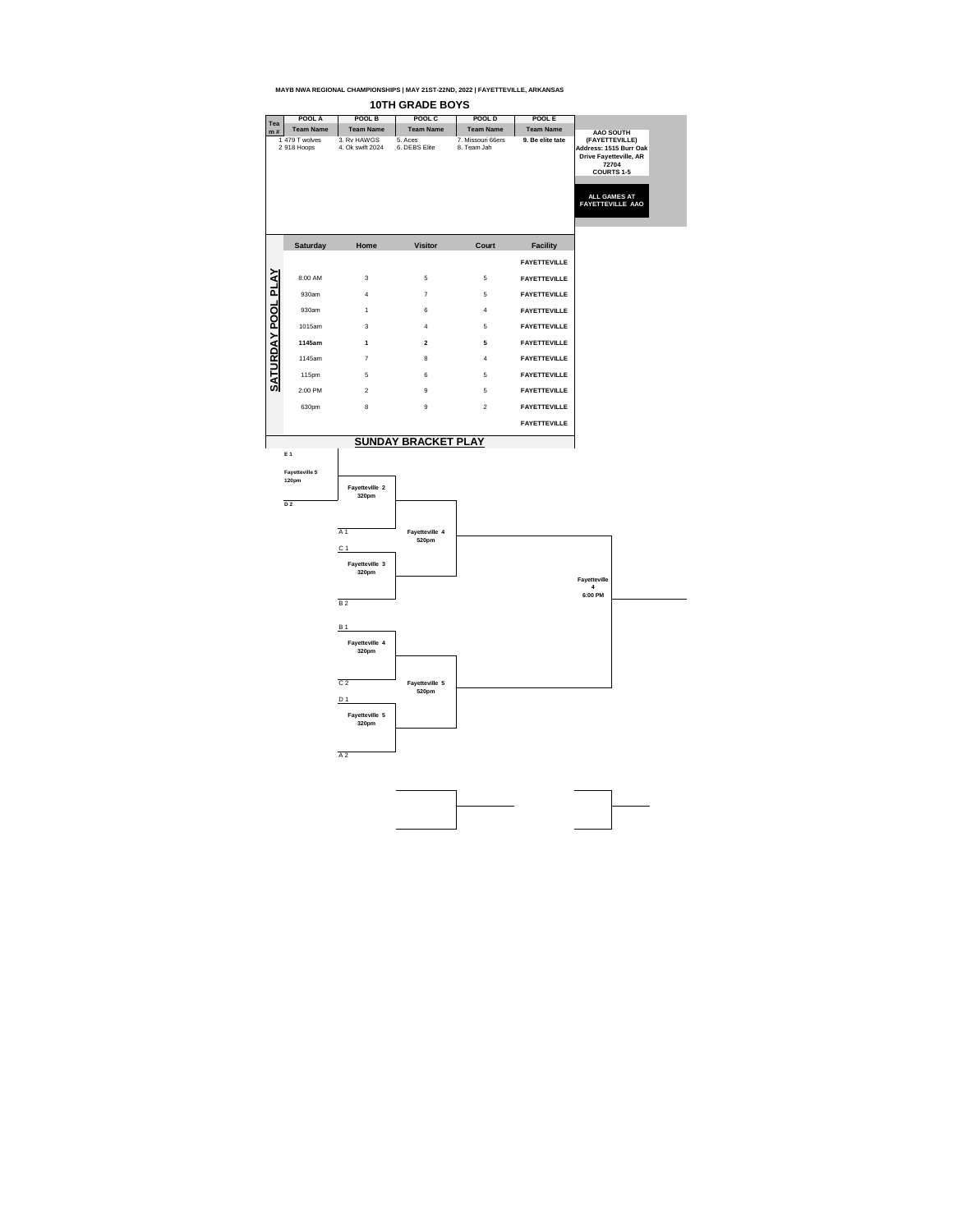**Fayetteville 5**

| Tea           | POOL A                        | POOL B                          | POOL C                   | POOL D                           | POOL E              |                                                                                                                                                           |
|---------------|-------------------------------|---------------------------------|--------------------------|----------------------------------|---------------------|-----------------------------------------------------------------------------------------------------------------------------------------------------------|
| m#            | <b>Team Name</b>              | <b>Team Name</b>                | <b>Team Name</b>         | <b>Team Name</b>                 | <b>Team Name</b>    | <b>AAO SOUTH</b>                                                                                                                                          |
|               | 1 479 T wolves<br>2 918 Hoops | 3. Rv HAWGS<br>4. Ok swift 2024 | 5. Aces<br>6. DEBS Elite | 7. Missouri 66ers<br>8. Team Jah | 9. Be elite tate    | (FAYETTEVILLE)<br>Address: 1515 Burr Oak<br><b>Drive Fayetteville, AR</b><br>72704<br><b>COURTS 1-5</b><br><b>ALL GAMES AT</b><br><b>FAYETTEVILLE AAO</b> |
|               | <b>Saturday</b>               | Home                            | <b>Visitor</b>           | <b>Court</b>                     | <b>Facility</b>     |                                                                                                                                                           |
|               |                               |                                 |                          |                                  | <b>FAYETTEVILLE</b> |                                                                                                                                                           |
| YA            | 8:00 AM                       | $\mathfrak{S}$                  | $\overline{5}$           | 5                                | <b>FAYETTEVILLE</b> |                                                                                                                                                           |
| نے            | 930am                         | 4                               | $\overline{7}$           | 5                                | <b>FAYETTEVILLE</b> |                                                                                                                                                           |
| <b>POOL</b>   | 930am                         | 1                               | $6\,$                    | $\overline{4}$                   | <b>FAYETTEVILLE</b> |                                                                                                                                                           |
|               | 1015am                        | 3                               | 4                        | $\overline{5}$                   | <b>FAYETTEVILLE</b> |                                                                                                                                                           |
| YA            | 1145am                        | 1                               | $\boldsymbol{2}$         | 5                                | <b>FAYETTEVILLE</b> |                                                                                                                                                           |
| <b>SATURD</b> | 1145am                        | $\overline{7}$                  | 8                        | $\overline{4}$                   | <b>FAYETTEVILLE</b> |                                                                                                                                                           |
|               | 115pm                         | $\sqrt{5}$                      | 6                        | 5                                | <b>FAYETTEVILLE</b> |                                                                                                                                                           |
|               | 2:00 PM                       | $\overline{2}$                  | $9\,$                    | $5\phantom{.0}$                  | <b>FAYETTEVILLE</b> |                                                                                                                                                           |
|               | 630pm                         | 8                               | $9\,$                    | $\overline{2}$                   | <b>FAYETTEVILLE</b> |                                                                                                                                                           |
|               |                               |                                 |                          |                                  | <b>FAYETTEVILLE</b> |                                                                                                                                                           |
|               |                               |                                 |                          |                                  |                     |                                                                                                                                                           |
|               | E 1                           |                                 |                          |                                  |                     |                                                                                                                                                           |





#### **MAYB NWA REGIONAL CHAMPIONSHIPS | MAY 21ST-22ND, 2022 | FAYETTEVILLE, ARKANSAS**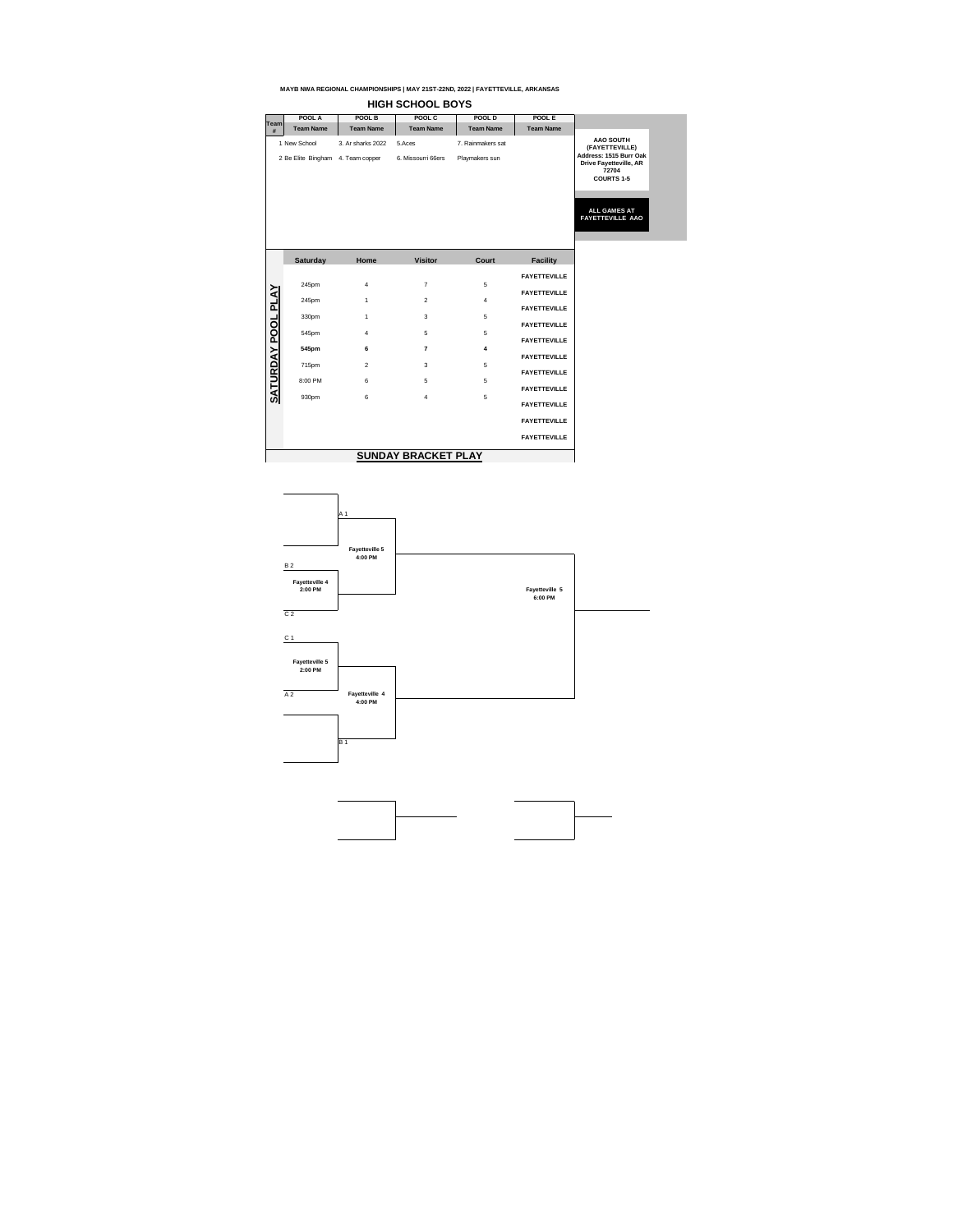|           | POOL A             | POOL B            | POOL C             | POOL D            | <b>POOL E</b>    |                                                                                       |  |
|-----------|--------------------|-------------------|--------------------|-------------------|------------------|---------------------------------------------------------------------------------------|--|
| Team<br># | <b>Team Name</b>   | <b>Team Name</b>  | <b>Team Name</b>   | <b>Team Name</b>  | <b>Team Name</b> |                                                                                       |  |
|           | 1 New School       | 3. Ar sharks 2022 | 5.Aces             | 7. Rainmakers sat |                  | <b>AAO SOUTH</b><br>(FAYETTEVILLE)                                                    |  |
|           | 2 Be Elite Bingham | 4. Team copper    | 6. Missourri 66ers | Playmakers sun    |                  | Address: 1515 Burr Oak<br><b>Drive Fayetteville, AR</b><br>72704<br><b>COURTS 1-5</b> |  |
|           |                    |                   |                    |                   |                  | <b>ALL GAMES AT</b><br><b>FAYETTEVILLE AAO</b>                                        |  |



|                            | <b>Saturday</b> | Home            | <b>Visitor</b> | <b>Court</b>            | <b>Facility</b>     |  |  |
|----------------------------|-----------------|-----------------|----------------|-------------------------|---------------------|--|--|
|                            |                 |                 |                |                         | <b>FAYETTEVILLE</b> |  |  |
| $\tilde{\mathbf{A}}$       | 245pm           | $\overline{4}$  | $\overline{7}$ | 5                       | <b>FAYETTEVILLE</b> |  |  |
|                            | 245pm           | $\mathbf 1$     | $\overline{2}$ | $\overline{4}$          |                     |  |  |
| $\overline{\mathbf{a}}$    | 330pm           | 1               | 3              | 5                       | <b>FAYETTEVILLE</b> |  |  |
| <b>POOL</b>                |                 |                 |                |                         | <b>FAYETTEVILLE</b> |  |  |
|                            | 545pm           | $\overline{4}$  | 5              | 5                       | <b>FAYETTEVILLE</b> |  |  |
| YA                         | 545pm           | $6\phantom{1}6$ | $\overline{7}$ | $\overline{\mathbf{4}}$ | <b>FAYETTEVILLE</b> |  |  |
|                            | 715pm           | $\overline{2}$  | 3              | 5                       |                     |  |  |
| <u>SATURD</u>              | 8:00 PM         | $6\,$           | 5              | 5                       | <b>FAYETTEVILLE</b> |  |  |
|                            |                 |                 |                |                         | <b>FAYETTEVILLE</b> |  |  |
|                            | 930pm           | 6               | $\overline{4}$ | 5                       | <b>FAYETTEVILLE</b> |  |  |
|                            |                 |                 |                |                         | <b>FAYETTEVILLE</b> |  |  |
|                            |                 |                 |                |                         | <b>FAYETTEVILLE</b> |  |  |
| <b>SUNDAY BRACKET PLAY</b> |                 |                 |                |                         |                     |  |  |

## **HIGH SCHOOL BOYS**